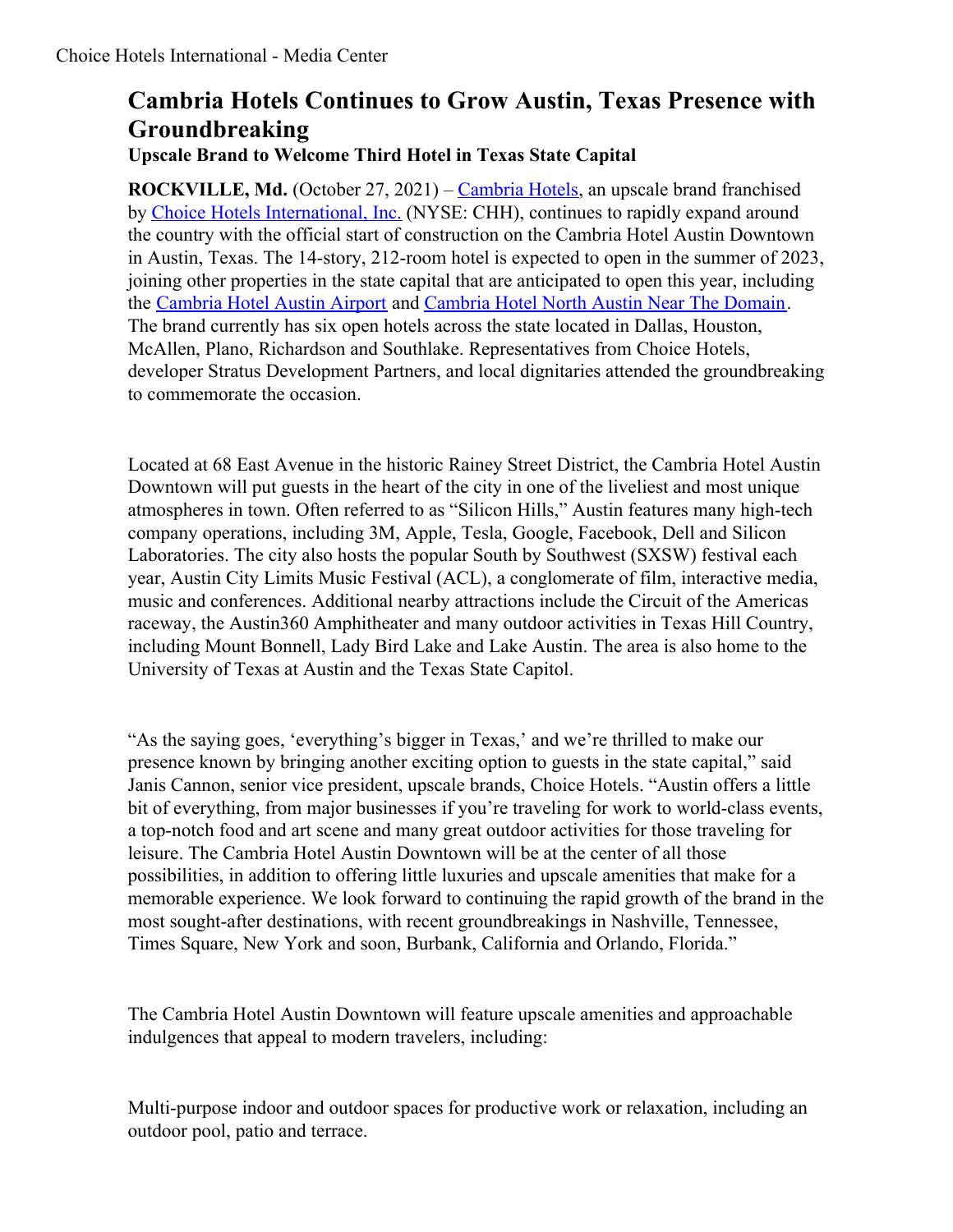# **Cambria Hotels Continues to Grow Austin, Texas Presence with Groundbreaking**

**Upscale Brand to Welcome Third Hotel in Texas State Capital**

**ROCKVILLE, Md.** (October 27, 2021) – [Cambria](https://www.choicehotels.com/cambria) Hotels, an upscale brand franchised by Choice Hotels [International,](https://www.choicehotels.com/) Inc. (NYSE: CHH), continues to rapidly expand around the country with the official start of construction on the Cambria Hotel Austin Downtown in Austin, Texas. The 14-story, 212-room hotel is expected to open in the summer of 2023, joining other properties in the state capital that are anticipated to open this year, including the [Cambria](https://www.choicehotels.com/texas/austin/cambria-hotels/txj47) Hotel Austin Airport and [Cambria](https://www.choicehotels.com/texas/austin/cambria-hotels/txi94) Hotel North Austin Near The Domain. The brand currently has six open hotels across the state located in Dallas, Houston, McAllen, Plano, Richardson and Southlake. Representatives from Choice Hotels, developer Stratus Development Partners, and local dignitaries attended the groundbreaking to commemorate the occasion.

Located at 68 East Avenue in the historic Rainey Street District, the Cambria Hotel Austin Downtown will put guests in the heart of the city in one of the liveliest and most unique atmospheres in town. Often referred to as "Silicon Hills," Austin features many high-tech company operations, including 3M, Apple, Tesla, Google, Facebook, Dell and Silicon Laboratories. The city also hosts the popular South by Southwest (SXSW) festival each year, Austin City Limits Music Festival (ACL), a conglomerate of film, interactive media, music and conferences. Additional nearby attractions include the Circuit of the Americas raceway, the Austin360 Amphitheater and many outdoor activities in Texas Hill Country, including Mount Bonnell, Lady Bird Lake and Lake Austin. The area is also home to the University of Texas at Austin and the Texas State Capitol.

"As the saying goes, 'everything's bigger in Texas,' and we're thrilled to make our presence known by bringing another exciting option to guests in the state capital," said Janis Cannon, senior vice president, upscale brands, Choice Hotels. "Austin offers a little bit of everything, from major businesses if you're traveling for work to world-class events, a top-notch food and art scene and many great outdoor activities for those traveling for leisure. The Cambria Hotel Austin Downtown will be at the center of all those possibilities, in addition to offering little luxuries and upscale amenities that make for a memorable experience. We look forward to continuing the rapid growth of the brand in the most sought-after destinations, with recent groundbreakings in Nashville, Tennessee, Times Square, New York and soon, Burbank, California and Orlando, Florida."

The Cambria Hotel Austin Downtown will feature upscale amenities and approachable indulgences that appeal to modern travelers, including:

Multi-purpose indoor and outdoor spaces for productive work or relaxation, including an outdoor pool, patio and terrace.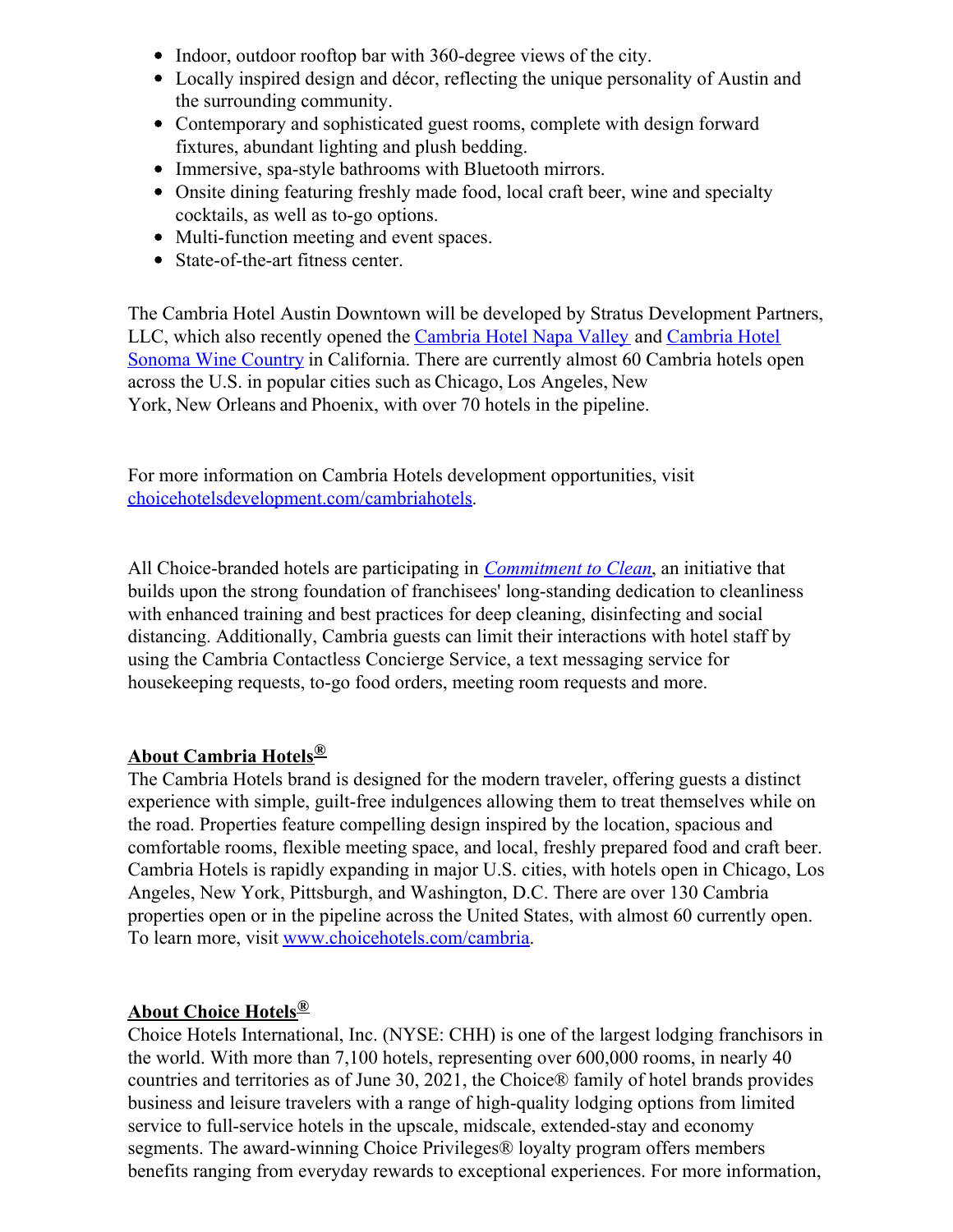- Indoor, outdoor rooftop bar with 360-degree views of the city.
- Locally inspired design and décor, reflecting the unique personality of Austin and the surrounding community.
- Contemporary and sophisticated guest rooms, complete with design forward fixtures, abundant lighting and plush bedding.
- Immersive, spa-style bathrooms with Bluetooth mirrors.
- Onsite dining featuring freshly made food, local craft beer, wine and specialty cocktails, as well as to-go options.
- Multi-function meeting and event spaces.
- State-of-the-art fitness center.

The Cambria Hotel Austin Downtown will be developed by Stratus Development Partners, LLC, which also recently opened the [Cambria](https://www.choicehotels.com/california/napa/cambria-hotels/caf61) Hotel Napa Valley and Cambria Hotel Sonoma Wine Country in [California.](https://www.choicehotels.com/california/rohnert-park/cambria-hotels/caf31) There are currently almost 60 Cambria hotels open across the U.S. in popular cities such as Chicago, Los Angeles, New York, New Orleans and Phoenix, with over 70 hotels in the pipeline.

For more information on Cambria Hotels development opportunities, visit [choicehotelsdevelopment.com/cambriahotels](https://choicehotelsdevelopment.com/cambriahotels/?utm_source=media_center&utm_medium=referral &utm_term=press_release&utm_content=cambria&utm_campaign=organic).

All Choice-branded hotels are participating in *[Commitment](https://www.choicehotels.com/about/commitment-to-clean-hotels#:~:text=Every%2520Choice%252Dbranded%2520hotel%2520will,protocols%2520into%2520their%2520hotel%27s%2520operations.) to Clean*, an initiative that builds upon the strong foundation of franchisees' long-standing dedication to cleanliness with enhanced training and best practices for deep cleaning, disinfecting and social distancing. Additionally, Cambria guests can limit their interactions with hotel staff by using the Cambria Contactless Concierge Service, a text messaging service for housekeeping requests, to-go food orders, meeting room requests and more.

## **About Cambria Hotels®**

The Cambria Hotels brand is designed for the modern traveler, offering guests a distinct experience with simple, guilt-free indulgences allowing them to treat themselves while on the road. Properties feature compelling design inspired by the location, spacious and comfortable rooms, flexible meeting space, and local, freshly prepared food and craft beer. Cambria Hotels is rapidly expanding in major U.S. cities, with hotels open in Chicago, Los Angeles, New York, Pittsburgh, and Washington, D.C. There are over 130 Cambria properties open or in the pipeline across the United States, with almost 60 currently open. To learn more, visit [www.choicehotels.com/cambria](https://c212.net/c/link/?t=0&l=en&o=3037694-1&h=1163726899&u=http%3A%2F%2Fwww.choicehotels.com%2Fcambria&a=www.choicehotels.com%2Fcambria).

## **About Choice Hotels®**

Choice Hotels International, Inc. (NYSE: CHH) is one of the largest lodging franchisors in the world. With more than 7,100 hotels, representing over 600,000 rooms, in nearly 40 countries and territories as of June 30, 2021, the Choice® family of hotel brands provides business and leisure travelers with a range of high-quality lodging options from limited service to full-service hotels in the upscale, midscale, extended-stay and economy segments. The award-winning Choice Privileges® loyalty program offers members benefits ranging from everyday rewards to exceptional experiences. For more information,